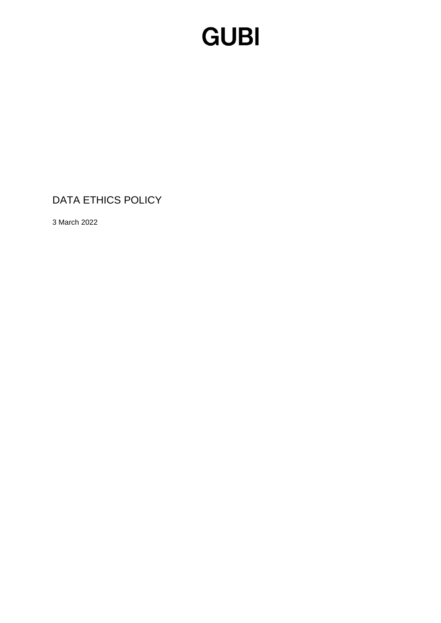### **GUBI**

### DATA ETHICS POLICY

3 March 2022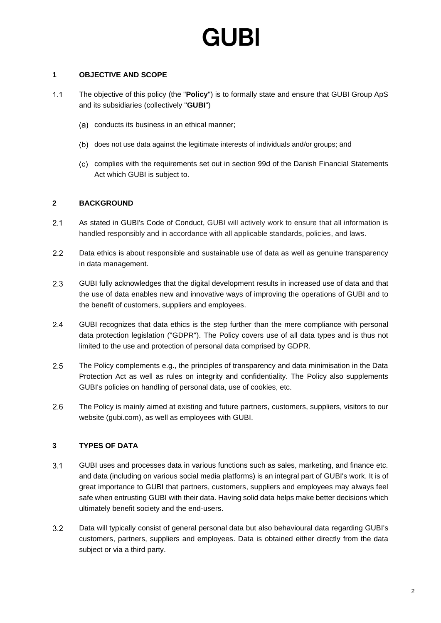# GURI

#### **1 OBJECTIVE AND SCOPE**

- $1.1$ The objective of this policy (the "**Policy**") is to formally state and ensure that GUBI Group ApS and its subsidiaries (collectively "**GUBI**")
	- (a) conducts its business in an ethical manner;
	- does not use data against the legitimate interests of individuals and/or groups; and
	- (c) complies with the requirements set out in section 99d of the Danish Financial Statements Act which GUBI is subject to.

#### **2 BACKGROUND**

- As stated in GUBI's Code of Conduct, GUBI will actively work to ensure that all information is  $2.1$ handled responsibly and in accordance with all applicable standards, policies, and laws.
- $2.2$ Data ethics is about responsible and sustainable use of data as well as genuine transparency in data management.
- 2.3 GUBI fully acknowledges that the digital development results in increased use of data and that the use of data enables new and innovative ways of improving the operations of GUBI and to the benefit of customers, suppliers and employees.
- $2.4$ GUBI recognizes that data ethics is the step further than the mere compliance with personal data protection legislation ("GDPR"). The Policy covers use of all data types and is thus not limited to the use and protection of personal data comprised by GDPR.
- $2.5$ The Policy complements e.g., the principles of transparency and data minimisation in the Data Protection Act as well as rules on integrity and confidentiality. The Policy also supplements GUBI's policies on handling of personal data, use of cookies, etc.
- 2.6 The Policy is mainly aimed at existing and future partners, customers, suppliers, visitors to our website (gubi.com), as well as employees with GUBI.

#### **3 TYPES OF DATA**

- $3.1$ GUBI uses and processes data in various functions such as sales, marketing, and finance etc. and data (including on various social media platforms) is an integral part of GUBI's work. It is of great importance to GUBI that partners, customers, suppliers and employees may always feel safe when entrusting GUBI with their data. Having solid data helps make better decisions which ultimately benefit society and the end-users.
- $3.2$ Data will typically consist of general personal data but also behavioural data regarding GUBI's customers, partners, suppliers and employees. Data is obtained either directly from the data subject or via a third party.